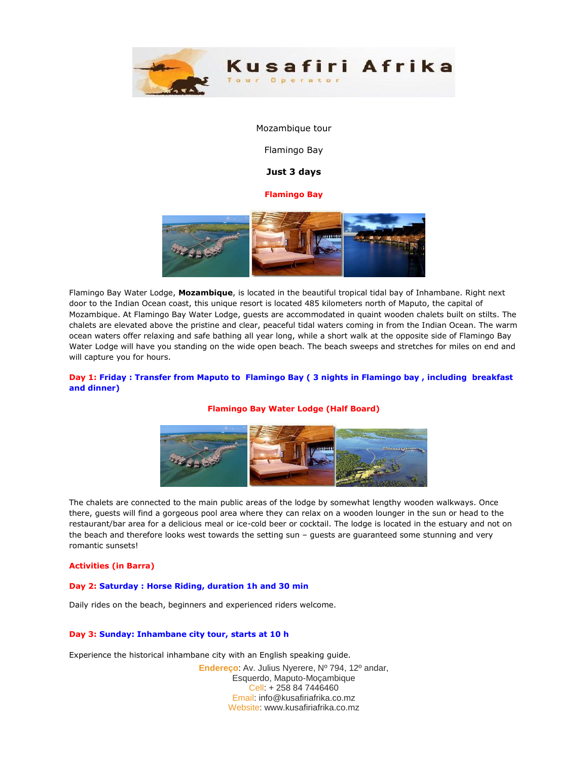

#### Mozambique tour

Flamingo Bay

# **Just 3 days**

## **Flamingo Bay**



Flamingo Bay Water Lodge, **Mozambique**, is located in the beautiful tropical tidal bay of Inhambane. Right next door to the Indian Ocean coast, this unique resort is located 485 kilometers north of Maputo, the capital of Mozambique. At Flamingo Bay Water Lodge, guests are accommodated in quaint wooden chalets built on stilts. The chalets are elevated above the pristine and clear, peaceful tidal waters coming in from the Indian Ocean. The warm ocean waters offer relaxing and safe bathing all year long, while a short walk at the opposite side of Flamingo Bay Water Lodge will have you standing on the wide open beach. The beach sweeps and stretches for miles on end and will capture you for hours.

# **Day 1: Friday : Transfer from Maputo to Flamingo Bay ( 3 nights in Flamingo bay , including breakfast and dinner)**

## **Flamingo Bay Water Lodge (Half Board)**



The chalets are connected to the main public areas of the lodge by somewhat lengthy wooden walkways. Once there, guests will find a gorgeous pool area where they can relax on a wooden lounger in the sun or head to the restaurant/bar area for a delicious meal or ice-cold beer or cocktail. The lodge is located in the estuary and not on the beach and therefore looks west towards the setting sun – guests are guaranteed some stunning and very romantic sunsets!

### **Activities (in Barra)**

#### **Day 2: Saturday : Horse Riding, duration 1h and 30 min**

Daily rides on the beach, beginners and experienced riders welcome.

#### **Day 3: Sunday: Inhambane city tour, starts at 10 h**

Experience the historical inhambane city with an English speaking guide.

**Endereço**: Av. Julius Nyerere, Nº 794, 12º andar, Esquerdo, Maputo-Moçambique Cell: + 258 84 7446460 Email: info@kusafiriafrika.co.mz Website: www.kusafiriafrika.co.mz